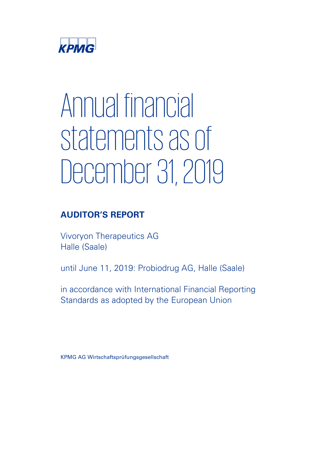

# Annual financial statements as of December 31, 2019

# **AUDITOR'S REPORT**

Vivoryon Therapeutics AG Halle (Saale)

until June 11, 2019: Probiodrug AG, Halle (Saale)

in accordance with International Financial Reporting Standards as adopted by the European Union

KPMG AG Wirtschaftsprüfungsgesellschaft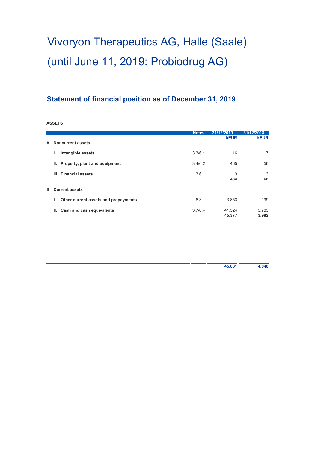# **Statement of financial position as of December 31, 2019**

**ASSETS**

|    |                                            | <b>Notes</b> | 31/12/2019       | 31/12/2018     |
|----|--------------------------------------------|--------------|------------------|----------------|
| А. | <b>Noncurrent assets</b>                   |              | <b>kEUR</b>      | <b>kEUR</b>    |
|    | Intangible assets<br>ı.                    | 3.3/6.1      | 16               | 7              |
|    | Property, plant and equipment<br>Ш.        | 3.4/6.2      | 465              | 56             |
|    | III. Financial assets                      | 3.6          | 3<br>484         | 3<br>66        |
| В. | <b>Current assets</b>                      |              |                  |                |
|    | Other current assets and prepayments<br>L. | 6.3          | 3.853            | 199            |
|    | Cash and cash equivalents<br>Ш.            | 3.7/6.4      | 41.524<br>45.377 | 3.783<br>3.982 |

|  | 45.861 | 4.048 |
|--|--------|-------|
|  |        |       |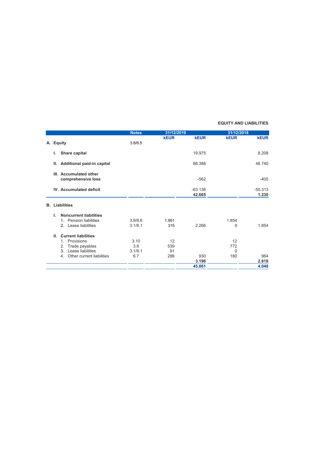#### **EQUITY AND LIABILITIES**

|    |               |                                 | <b>Notes</b> | 31/12/2019  |                     | 31/12/2018  |             |
|----|---------------|---------------------------------|--------------|-------------|---------------------|-------------|-------------|
|    |               |                                 |              | <b>kEUR</b> | <b>kEUR</b>         | <b>kEUR</b> | <b>kEUR</b> |
| А. | <b>Equity</b> |                                 | 3.8/6.5      |             |                     |             |             |
|    | L.            | Share capital                   |              |             | 19.975              |             | 8.208       |
|    | Ш.            | Additional paid-in capital      |              |             | 86.388              |             | 48.740      |
|    |               | III. Accumulated other          |              |             |                     |             |             |
|    |               | comprehensive loss              |              |             | $-562$              |             | $-405$      |
|    |               | <b>IV.</b> Accumulated deficit  |              |             | $-63.136$<br>42.665 |             | $-55.313$   |
|    |               |                                 |              |             |                     |             | 1.230       |
|    |               | <b>B.</b> Liabilities           |              |             |                     |             |             |
|    | Ι.            | <b>Noncurrent liabilities</b>   |              |             |                     |             |             |
|    |               | 1. Pension liabilities          | 3.9/6.6      | 1.951       |                     | 1.854       |             |
|    |               | 2. Lease liabilities            | 3.1/8.1      | 315         | 2.266               | 0           | 1.854       |
|    | Ш.            | <b>Current liabilities</b>      |              |             |                     |             |             |
|    |               | Provisions<br>$1_{-}$           | 3.10         | 12          |                     | 12          |             |
|    |               | Trade payables<br>2.            | 3.6          | 539         |                     | 772         |             |
|    |               | Lease liabilities<br>3.         | 3.1/8.1      | 91          |                     | $\Omega$    |             |
|    |               | Other current liabilities<br>4. | 6.7          | 288         | 930                 | 180         | 964         |
|    |               |                                 |              |             | 3.196               |             | 2.818       |
|    |               |                                 |              |             | 45.861              |             | 4.048       |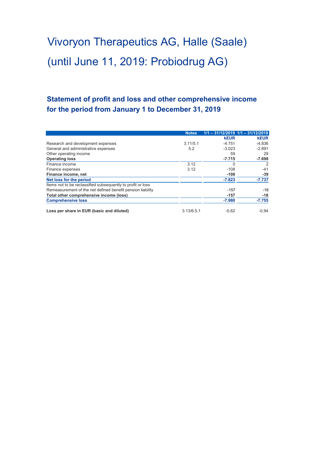# **Statement of profit and loss and other comprehensive income for the period from January 1 to December 31, 2019**

|                                                             | <b>Notes</b> |             | $1/1 - 31/12/2019$ $1/1 - 31/12/2018$ |
|-------------------------------------------------------------|--------------|-------------|---------------------------------------|
|                                                             |              | <b>kEUR</b> | <b>kEUR</b>                           |
| Research and development expenses                           | 3.11/5.1     | $-4.751$    | $-4.836$                              |
| General and administrative expenses                         | 5.2          | $-3.023$    | $-2.891$                              |
| Other operating income                                      |              | 59          | 29                                    |
| <b>Operating loss</b>                                       |              | $-7.715$    | $-7.698$                              |
| Finance income                                              | 3.12         | O           | 2                                     |
| Finance expenses                                            | 3.12         | $-108$      | $-41$                                 |
| Finance income, net                                         |              | $-108$      | $-39$                                 |
| Net loss for the period                                     |              | $-7.823$    | $-7.737$                              |
| Items not to be reclassified subsequently to profit or loss |              |             |                                       |
| Remeasurement of the net defined benefit pension liability  |              | $-157$      | $-18$                                 |
| Total other comprehensive income (loss)                     |              | $-157$      | $-18$                                 |
| <b>Comprehensive loss</b>                                   |              | $-7.980$    | $-7.755$                              |
| Loss per share in EUR (basic and diluted)                   | 3.13/6.5.1   | $-0.62$     | $-0.94$                               |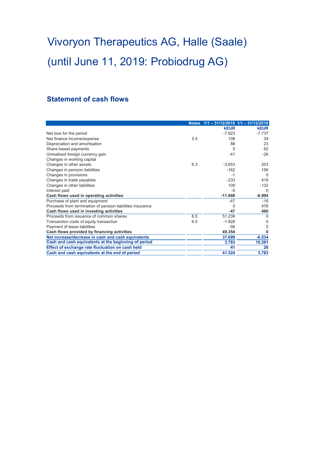# **Statement of cash flows**

|                                                            |     | Notes 1/1 - 31/12/2019 1/1 - 31/12/2018 |             |
|------------------------------------------------------------|-----|-----------------------------------------|-------------|
|                                                            |     | <b>kEUR</b>                             | <b>kEUR</b> |
| Net loss for the period                                    |     | $-7.823$                                | $-7.737$    |
| Net finance income/expense                                 | 5.4 | 108                                     | 39          |
| Depreciation and amortisation                              |     | 88                                      | 23          |
| Share based payments                                       |     | 5                                       | 62          |
| Unrealised foreign currency gain                           |     | $-41$                                   | $-26$       |
| Changes in working capital                                 |     |                                         |             |
| Changes in other assets                                    | 6.3 | $-3.653$                                | 203         |
| Changes in pension liabilities                             |     | $-162$                                  | 156         |
| Changes in provisions                                      |     | $-1$                                    | $\Omega$    |
| Changes in trade payables                                  |     | $-233$                                  | 418         |
| Changes in other liabilities                               |     | 109                                     | $-132$      |
| Interest paid                                              |     | $-5$                                    | $\Omega$    |
| Cash flows used in operating activities                    |     | $-11.608$                               | $-6.994$    |
| Purchase of plant and equipment                            |     | $-47$                                   | $-16$       |
| Proceeds from termination of pension liabilities insurance |     | $\Omega$                                | 476         |
| Cash flows used in investing activities                    |     | $-47$                                   | 460         |
| Proceeds from issuance of common shares                    | 6.5 | 51.238                                  | $\Omega$    |
| Transaction costs of equity transaction                    | 6.5 | $-1.828$                                | 0           |
| Payment of lease liabilities                               |     | $-56$                                   | 0           |
| Cash flows provided by financing activities                |     | 49.354                                  | 0           |
| Net increase/decrease in cash and cash equivalents         |     | 37.699                                  | $-6.534$    |
| Cash and cash equivalents at the beginning of period       |     | 3.783                                   | 10.291      |
| Effect of exchange rate fluctuation on cash held           |     | 41                                      | 26          |
| Cash and cash equivalents at the end of period             |     | 41.524                                  | 3.783       |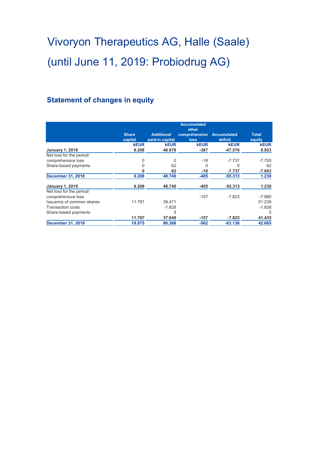# **Statement of changes in equity**

|                           |              |                   | <b>Accumulated</b><br>other |                    |              |
|---------------------------|--------------|-------------------|-----------------------------|--------------------|--------------|
|                           | <b>Share</b> | <b>Additional</b> | comprehensive               | <b>Accumulated</b> | <b>Total</b> |
|                           | capital      | paid-in capital   | <b>loss</b>                 | deficit            | equity       |
|                           | <b>kEUR</b>  | <b>kEUR</b>       | <b>kEUR</b>                 | <b>kEUR</b>        | <b>kEUR</b>  |
| <b>January 1, 2018</b>    | 8.208        | 48.678            | $-387$                      | $-47.576$          | 8.923        |
| Net loss for the period/  |              |                   |                             |                    |              |
| comprehensive loss        | 0            | 0                 | $-18$                       | $-7.737$           | $-7.755$     |
| Share-based payments      | 0            | 62                | $\Omega$                    | 0                  | 62           |
|                           | 0            | 62                | $-18$                       | $-7.737$           | $-7.693$     |
| <b>December 31, 2018</b>  | 8.208        | 48.740            | $-405$                      | $-55.313$          | 1.230        |
| <b>January 1, 2019</b>    | 8.208        | 48.740            | -405                        | $-55.313$          | 1.230        |
| Net loss for the period/  |              |                   |                             |                    |              |
| comprehensive loss        |              |                   | $-157$                      | $-7.823$           | $-7.980$     |
| Issuance of common shares | 11.767       | 39.471            |                             |                    | 51.238       |
| Transaction costs         |              | $-1.828$          |                             |                    | $-1.828$     |
| Share-based payments      |              | 5                 |                             |                    | 5            |
|                           | 11.767       | 37.648            | $-157$                      | -7.823             | 41.435       |
| <b>December 31, 2019</b>  | 19.975       | 86.388            | $-562$                      | $-63.136$          | 42.665       |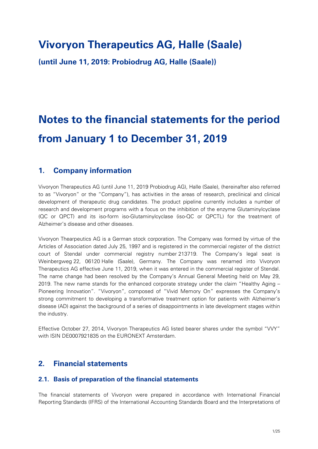# **Vivoryon Therapeutics AG, Halle (Saale)**

**(until June 11, 2019: Probiodrug AG, Halle (Saale))**

# **Notes to the financial statements for the period from January 1 to December 31, 2019**

### **1. Company information**

Vivoryon Therapeutics AG (until June 11, 2019 Probiodrug AG), Halle (Saale), (hereinafter also referred to as "Vivoryon" or the "Company"), has activities in the areas of research, preclinical and clinical development of therapeutic drug candidates. The product pipeline currently includes a number of research and development programs with a focus on the inhibition of the enzyme Glutaminylcyclase (QC or QPCT) and its iso-form iso-Glutaminylcyclase (iso-QC or QPCTL) for the treatment of Alzheimer's disease and other diseases.

Vivoryon Thearpeutics AG is a German stock corporation. The Company was formed by virtue of the Articles of Association dated July 25, 1997 and is registered in the commercial register of the district court of Stendal under commercial registry number 213719. The Company's legal seat is Weinbergweg 22, 06120 Halle (Saale), Germany. The Company was renamed into Vivoryon Therapeutics AG effective June 11, 2019, when it was entered in the commercial register of Stendal. The name change had been resolved by the Company's Annual General Meeting held on May 29, 2019. The new name stands for the enhanced corporate strategy under the claim "Healthy Aging – Pioneering Innovation". "Vivoryon", composed of "Vivid Memory On" expresses the Company's strong commitment to developing a transformative treatment option for patients with Alzheimer's disease (AD) against the background of a series of disappointments in late development stages within the industry.

Effective October 27, 2014, Vivoryon Therapeutics AG listed bearer shares under the symbol "VVY" with ISIN DE0007921835 on the EURONEXT Amsterdam.

## **2. Financial statements**

#### **2.1. Basis of preparation of the financial statements**

The financial statements of Vivoryon were prepared in accordance with International Financial Reporting Standards (IFRS) of the International Accounting Standards Board and the Interpretations of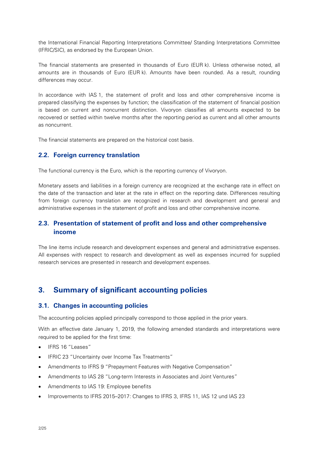the International Financial Reporting Interpretations Committee/ Standing Interpretations Committee (IFRIC/SIC), as endorsed by the European Union.

The financial statements are presented in thousands of Euro (EUR k). Unless otherwise noted, all amounts are in thousands of Euro (EUR k). Amounts have been rounded. As a result, rounding differences may occur.

In accordance with IAS 1, the statement of profit and loss and other comprehensive income is prepared classifying the expenses by function; the classification of the statement of financial position is based on current and noncurrent distinction. Vivoryon classifies all amounts expected to be recovered or settled within twelve months after the reporting period as current and all other amounts as noncurrent.

The financial statements are prepared on the historical cost basis.

#### **2.2. Foreign currency translation**

The functional currency is the Euro, which is the reporting currency of Vivoryon.

Monetary assets and liabilities in a foreign currency are recognized at the exchange rate in effect on the date of the transaction and later at the rate in effect on the reporting date. Differences resulting from foreign currency translation are recognized in research and development and general and administrative expenses in the statement of profit and loss and other comprehensive income.

#### **2.3. Presentation of statement of profit and loss and other comprehensive income**

The line items include research and development expenses and general and administrative expenses. All expenses with respect to research and development as well as expenses incurred for supplied research services are presented in research and development expenses.

## **3. Summary of significant accounting policies**

#### **3.1. Changes in accounting policies**

The accounting policies applied principally correspond to those applied in the prior years.

With an effective date January 1, 2019, the following amended standards and interpretations were required to be applied for the first time:

- IFRS 16 "Leases"
- IFRIC 23 "Uncertainty over Income Tax Treatments"
- Amendments to IFRS 9 "Prepayment Features with Negative Compensation"
- Amendments to IAS 28 "Long-term Interests in Associates and Joint Ventures"
- Amendments to IAS 19: Employee benefits
- Improvements to IFRS 2015–2017: Changes to IFRS 3, IFRS 11, IAS 12 und IAS 23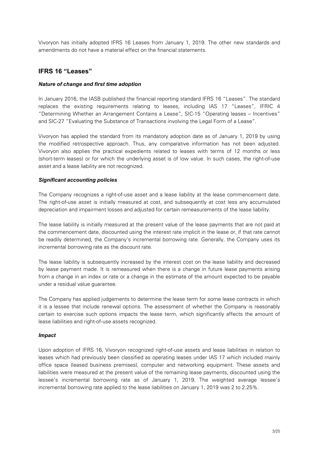Vivoryon has initially adopted IFRS 16 Leases from January 1, 2019. The other new standards and amendments do not have a material effect on the financial statements.

#### **IFRS 16 "Leases"**

#### *Nature of change and first time adoption*

In January 2016, the IASB published the financial reporting standard IFRS 16 "Leases". The standard replaces the existing requirements relating to leases, including IAS 17 "Leases", IFRIC 4 "Determining Whether an Arrangement Contains a Lease", SIC-15 "Operating leases – Incentives" and SIC-27 "Evaluating the Substance of Transactions involving the Legal Form of a Lease".

Vivoryon has applied the standard from its mandatory adoption date as of January 1, 2019 by using the modified retrospective approach. Thus, any comparative information has not been adjusted. Vivoryon also applies the practical expedients related to leases with terms of 12 months or less (short-term leases) or for which the underlying asset is of low value. In such cases, the right-of-use asset and a lease liability are not recognized.

#### *Significant accounting policies*

The Company recognizes a right-of-use asset and a lease liability at the lease commencement date. The right-of-use asset is initially measured at cost, and subsequently at cost less any accumulated depreciation and impairment losses and adjusted for certain remeasurements of the lease liability.

The lease liability is initially measured at the present value of the lease payments that are not paid at the commencement date, discounted using the interest rate implicit in the lease or, if that rate cannot be readily determined, the Company's incremental borrowing rate. Generally, the Company uses its incremental borrowing rate as the discount rate.

The lease liability is subsequently increased by the interest cost on the lease liability and decreased by lease payment made. It is remeasured when there is a change in future lease payments arising from a change in an index or rate or a change in the estimate of the amount expected to be payable under a residual value guarantee.

The Company has applied judgements to determine the lease term for some lease contracts in which it is a lessee that include renewal options. The assessment of whether the Company is reasonably certain to exercise such options impacts the lease term, which significantly affects the amount of lease liabilities and right-of-use assets recognized.

#### *Impact*

Upon adoption of IFRS 16, Vivoryon recognized right-of-use assets and lease liabilities in relation to leases which had previously been classified as operating leases under IAS 17 which included mainly office space (leased business premises), computer and networking equipment. These assets and liabilities were measured at the present value of the remaining lease payments, discounted using the lessee's incremental borrowing rate as of January 1, 2019. The weighted average lessee's incremental borrowing rate applied to the lease liabilities on January 1, 2019 was 2 to 2.25%.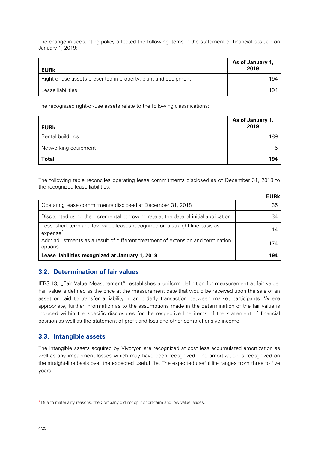The change in accounting policy affected the following items in the statement of financial position on January 1, 2019:

| <b>EURk</b>                                                    | As of January 1,<br>2019 |
|----------------------------------------------------------------|--------------------------|
| Right-of-use assets presented in property, plant and equipment | 194                      |
| Lease liabilities                                              | 194                      |

The recognized right-of-use assets relate to the following classifications:

| <b>EURk</b>          | As of January 1,<br>2019 |
|----------------------|--------------------------|
| Rental buildings     | 189                      |
| Networking equipment | :h                       |
| <b>Total</b>         | 194                      |

The following table reconciles operating lease commitments disclosed as of December 31, 2018 to the recognized lease liabilities:

|                                                                                                      | <b>EURk</b> |
|------------------------------------------------------------------------------------------------------|-------------|
| Operating lease commitments disclosed at December 31, 2018                                           | 35          |
| Discounted using the incremental borrowing rate at the date of initial application                   | 34          |
| Less: short-term and low value leases recognized on a straight line basis as<br>expense <sup>1</sup> | $-14$       |
| Add: adjustments as a result of different treatment of extension and termination<br>options          | 174         |
| Lease liabilities recognized at January 1, 2019                                                      | 194         |

#### **3.2. Determination of fair values**

IFRS 13, "Fair Value Measurement", establishes a uniform definition for measurement at fair value. Fair value is defined as the price at the measurement date that would be received upon the sale of an asset or paid to transfer a liability in an orderly transaction between market participants. Where appropriate, further information as to the assumptions made in the determination of the fair value is included within the specific disclosures for the respective line items of the statement of financial position as well as the statement of profit and loss and other comprehensive income.

#### **3.3. Intangible assets**

The intangible assets acquired by Vivoryon are recognized at cost less accumulated amortization as well as any impairment losses which may have been recognized. The amortization is recognized on the straight-line basis over the expected useful life. The expected useful life ranges from three to five years.

<span id="page-12-0"></span><sup>&</sup>lt;sup>1</sup> Due to materiality reasons, the Company did not split short-term and low value leases.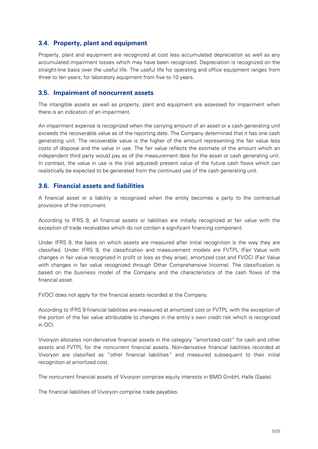#### **3.4. Property, plant and equipment**

Property, plant and equipment are recognized at cost less accumulated depreciation as well as any accumulated impairment losses which may have been recognized. Depreciation is recognized on the straight-line basis over the useful life. The useful life for operating and office equipment ranges from three to ten years; for laboratory equipment from five to 10 years.

#### **3.5. Impairment of noncurrent assets**

The intangible assets as well as property, plant and equipment are assessed for impairment when there is an indication of an impairment.

An impairment expense is recognized when the carrying amount of an asset or a cash generating unit exceeds the recoverable value as of the reporting date. The Company determined that it has one cash generating unit. The recoverable value is the higher of the amount representing the fair value less costs of disposal and the value in use. The fair value reflects the estimate of the amount which an independent third party would pay as of the measurement date for the asset or cash generating unit. In contrast, the value in use is the (risk adjusted) present value of the future cash flows which can realistically be expected to be generated from the continued use of the cash generating unit.

#### **3.6. Financial assets and liabilities**

A financial asset or a liability is recognized when the entity becomes a party to the contractual provisions of the instrument.

According to IFRS 9, all financial assets or liabilities are initially recognized at fair value with the exception of trade receivables which do not contain a significant financing component.

Under IFRS 9, the basis on which assets are measured after initial recognition is the way they are classified. Under IFRS 9, the classification and measurement models are FVTPL (Fair Value with changes in fair value recognized in profit or loss as they arise), amortized cost and FVOCI (Fair Value with changes in fair value recognized through Other Comprehensive Income). The classification is based on the business model of the Company and the characteristics of the cash flows of the financial asset.

FVOCI does not apply for the financial assets recorded at the Company.

According to IFRS 9 financial liabilities are measured at amortized cost or FVTPL with the exception of the portion of the fair value attributable to changes in the entity`s own credit risk which is recognized in OCI.

Vivoryon allocates non-derivative financial assets in the category "amortized cost" for cash and other assets and FVTPL for the noncurrent financial assets. Non-derivative financial liabilities recorded at Vivoryon are classified as "other financial liabilities" and measured subsequent to their initial recognition at amortized cost.

The noncurrent financial assets of Vivoryon comprise equity interests in BMD GmbH, Halle (Saale).

The financial liabilities of Vivoryon comprise trade payables.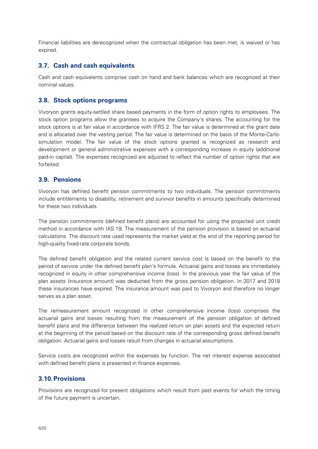Financial liabilities are derecognized when the contractual obligation has been met, is waived or has expired.

#### **3.7. Cash and cash equivalents**

Cash and cash equivalents comprise cash on hand and bank balances which are recognized at their nominal values.

#### **3.8. Stock options programs**

Vivoryon grants equity-settled share based payments in the form of option rights to employees. The stock option programs allow the grantees to acquire the Company's shares. The accounting for the stock options is at fair value in accordance with IFRS 2. The fair value is determined at the grant date and is allocated over the vesting period. The fair value is determined on the basis of the Monte-Carlosimulation model. The fair value of the stock options granted is recognized as research and development or general administrative expenses with a corresponding increase in equity (additional paid-in capital). The expenses recognized are adjusted to reflect the number of option rights that are forfeited.

#### **3.9. Pensions**

Vivoryon has defined benefit pension commitments to two individuals. The pension commitments include entitlements to disability, retirement and survivor benefits in amounts specifically determined for these two individuals.

The pension commitments (defined benefit plans) are accounted for using the projected unit credit method in accordance with IAS 19. The measurement of the pension provision is based on actuarial calculations. The discount rate used represents the market yield at the end of the reporting period for high-quality fixed-rate corporate bonds.

The defined benefit obligation and the related current service cost is based on the benefit to the period of service under the defined benefit plan's formula. Actuarial gains and losses are immediately recognized in equity in other comprehensive income (loss). In the previous year the fair value of the plan assets (insurance amount) was deducted from the gross pension obligation. In 2017 and 2018 these insurances have expired. The insurance amount was paid to Vivoryon and therefore no longer serves as a plan asset.

The remeasurement amount recognized in other comprehensive income (loss) comprises the actuarial gains and losses resulting from the measurement of the pension obligation of defined benefit plans and the difference between the realized return on plan assets and the expected return at the beginning of the period based on the discount rate of the corresponding gross defined benefit obligation. Actuarial gains and losses result from changes in actuarial assumptions.

Service costs are recognized within the expenses by function. The net interest expense associated with defined benefit plans is presented in finance expenses.

#### **3.10.Provisions**

Provisions are recognized for present obligations which result from past events for which the timing of the future payment is uncertain.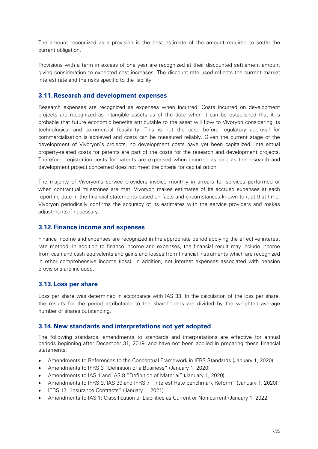The amount recognized as a provision is the best estimate of the amount required to settle the current obligation.

Provisions with a term in excess of one year are recognized at their discounted settlement amount giving consideration to expected cost increases. The discount rate used reflects the current market interest rate and the risks specific to the liability.

#### **3.11.Research and development expenses**

Research expenses are recognized as expenses when incurred. Costs incurred on development projects are recognized as intangible assets as of the date when it can be established that it is probable that future economic benefits attributable to the asset will flow to Vivoryon considering its technological and commercial feasibility. This is not the case before regulatory approval for commercialisation is achieved and costs can be measured reliably. Given the current stage of the development of Vivoryon's projects, no development costs have yet been capitalized. Intellectual property-related costs for patents are part of the costs for the research and development projects. Therefore, registration costs for patents are expensed when incurred as long as the research and development project concerned does not meet the criteria for capitalization.

The majority of Vivoryon's service providers invoice monthly in arrears for services performed or when contractual milestones are met. Vivoryon makes estimates of its accrued expenses at each reporting date in the financial statements based on facts and circumstances known to it at that time. Vivoryon periodically confirms the accuracy of its estimates with the service providers and makes adjustments if necessary.

#### **3.12.Finance income and expenses**

Finance income and expenses are recognized in the appropriate period applying the effective interest rate method. In addition to finance income and expenses, the financial result may include income from cash and cash equivalents and gains and losses from financial instruments which are recognized in other comprehensive income (loss). In addition, net interest expenses associated with pension provisions are included.

#### **3.13.Loss per share**

Loss per share was determined in accordance with IAS 33. In the calculation of the loss per share, the results for the period attributable to the shareholders are divided by the weighted average number of shares outstanding.

#### **3.14.New standards and interpretations not yet adopted**

The following standards, amendments to standards and interpretations are effective for annual periods beginning after December 31, 2019, and have not been applied in preparing these financial statements:

- Amendments to References to the Conceptual Framework in IFRS Standards (January 1, 2020)
- Amendments to IFRS 3 "Definition of a Business" (January 1, 2020)
- Amendments to IAS 1 and IAS 8 "Definition of Material" (January 1, 2020)
- Amendments to IFRS 9, IAS 39 and IFRS 7 "Interest Rate benchmark Reform" (January 1, 2020)
- IFRS 17 "Insurance Contracts" (January 1, 2021)
- Amendments to IAS 1: Classification of Liabilities as Current or Non-current (January 1, 2022)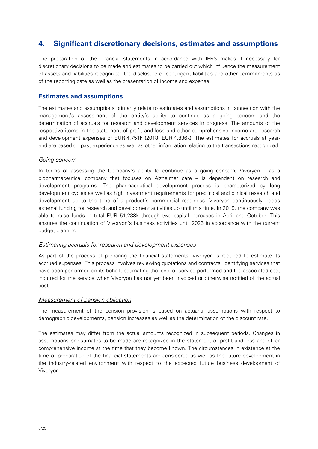### **4. Significant discretionary decisions, estimates and assumptions**

The preparation of the financial statements in accordance with IFRS makes it necessary for discretionary decisions to be made and estimates to be carried out which influence the measurement of assets and liabilities recognized, the disclosure of contingent liabilities and other commitments as of the reporting date as well as the presentation of income and expense.

#### **Estimates and assumptions**

The estimates and assumptions primarily relate to estimates and assumptions in connection with the management's assessment of the entity's ability to continue as a going concern and the determination of accruals for research and development services in progress. The amounts of the respective items in the statement of profit and loss and other comprehensive income are research and development expenses of EUR 4,751k (2018: EUR 4,836k). The estimates for accruals at yearend are based on past experience as well as other information relating to the transactions recognized.

#### Going concern

In terms of assessing the Company's ability to continue as a going concern, Vivoryon – as a biopharmaceutical company that focuses on Alzheimer care – is dependent on research and development programs. The pharmaceutical development process is characterized by long development cycles as well as high investment requirements for preclinical and clinical research and development up to the time of a product's commercial readiness. Vivoryon continuously needs external funding for research and development activities up until this time. In 2019, the company was able to raise funds in total EUR 51,238k through two capital increases in April and October. This ensures the continuation of Vivoryon's business activities until 2023 in accordance with the current budget planning.

#### Estimating accruals for research and development expenses

As part of the process of preparing the financial statements, Vivoryon is required to estimate its accrued expenses. This process involves reviewing quotations and contracts, identifying services that have been performed on its behalf, estimating the level of service performed and the associated cost incurred for the service when Vivoryon has not yet been invoiced or otherwise notified of the actual cost.

#### Measurement of pension obligation

The measurement of the pension provision is based on actuarial assumptions with respect to demographic developments, pension increases as well as the determination of the discount rate.

The estimates may differ from the actual amounts recognized in subsequent periods. Changes in assumptions or estimates to be made are recognized in the statement of profit and loss and other comprehensive income at the time that they become known. The circumstances in existence at the time of preparation of the financial statements are considered as well as the future development in the industry-related environment with respect to the expected future business development of Vivoryon.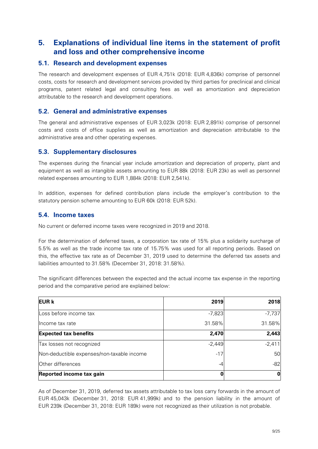### **5. Explanations of individual line items in the statement of profit and loss and other comprehensive income**

#### **5.1. Research and development expenses**

The research and development expenses of EUR 4,751k (2018: EUR 4,836k) comprise of personnel costs, costs for research and development services provided by third parties for preclinical and clinical programs, patent related legal and consulting fees as well as amortization and depreciation attributable to the research and development operations.

#### **5.2. General and administrative expenses**

The general and administrative expenses of EUR 3,023k (2018: EUR 2,891k) comprise of personnel costs and costs of office supplies as well as amortization and depreciation attributable to the administrative area and other operating expenses.

#### **5.3. Supplementary disclosures**

The expenses during the financial year include amortization and depreciation of property, plant and equipment as well as intangible assets amounting to EUR 88k (2018: EUR 23k) as well as personnel related expenses amounting to EUR 1,884k (2018: EUR 2,541k).

In addition, expenses for defined contribution plans include the employer's contribution to the statutory pension scheme amounting to EUR 60k (2018: EUR 52k).

#### **5.4. Income taxes**

No current or deferred income taxes were recognized in 2019 and 2018.

For the determination of deferred taxes, a corporation tax rate of 15% plus a solidarity surcharge of 5.5% as well as the trade income tax rate of 15.75% was used for all reporting periods. Based on this, the effective tax rate as of December 31, 2019 used to determine the deferred tax assets and liabilities amounted to 31.58% (December 31, 2018: 31.58%).

The significant differences between the expected and the actual income tax expense in the reporting period and the comparative period are explained below:

| <b>EUR k</b>                               | 2019     | 2018     |
|--------------------------------------------|----------|----------|
| Loss before income tax                     | $-7,823$ | $-7,737$ |
| llncome tax rate                           | 31.58%   | 31.58%   |
| <b>Expected tax benefits</b>               | 2,470    | 2,443    |
| Tax losses not recognized                  | $-2,449$ | $-2,411$ |
| Non-deductible expenses/non-taxable income | $-17$    | 50       |
| Other differences                          | -4       | $-82$    |
| Reported income tax gain                   |          | 0        |

As of December 31, 2019, deferred tax assets attributable to tax loss carry forwards in the amount of EUR 45,043k (December 31, 2018: EUR 41,999k) and to the pension liability in the amount of EUR 239k (December 31, 2018: EUR 189k) were not recognized as their utilization is not probable.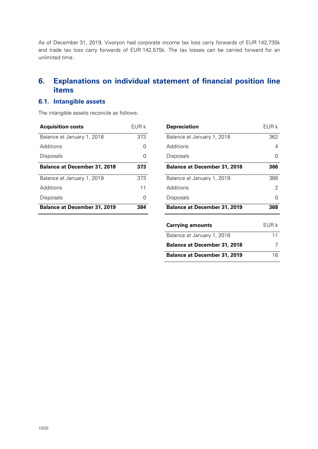As of December 31, 2019, Vivoryon had corporate income tax loss carry forwards of EUR 142,735k and trade tax loss carry forwards of EUR 142,575k. The tax losses can be carried forward for an unlimited time.

# **6. Explanations on individual statement of financial position line items**

#### **6.1. Intangible assets**

The intangible assets reconcile as follows:

| <b>Acquisition costs</b>            | FUR k |
|-------------------------------------|-------|
| Balance at January 1, 2018          | 373   |
| Additions                           |       |
| Disposals                           |       |
| <b>Balance at December 31, 2018</b> | 373   |
| Balance at January 1, 2019          | 373   |
| Additions                           | 11    |
| Disposals                           |       |
| <b>Balance at December 31, 2019</b> | 384   |

| EUR k       | <b>Depreciation</b>                 | EUR k    |
|-------------|-------------------------------------|----------|
| 373         | Balance at January 1, 2018          | 362      |
| $\mathbf 0$ | Additions                           | 4        |
| 0           | Disposals                           | 0        |
| 373         | <b>Balance at December 31, 2018</b> | 366      |
| 373         | Balance at January 1, 2019          | 366      |
| 11          | Additions                           | 2        |
| $\mathbf 0$ | Disposals                           | $\Omega$ |
| 384         | <b>Balance at December 31, 2019</b> | 368      |
|             | <b>Carrying amounts</b>             | EUR k    |
|             | Balance at January 1, 2018          | 11       |
|             | <b>Balance at December 31, 2018</b> | 7        |
|             | <b>Balance at December 31, 2019</b> | 16       |
|             |                                     |          |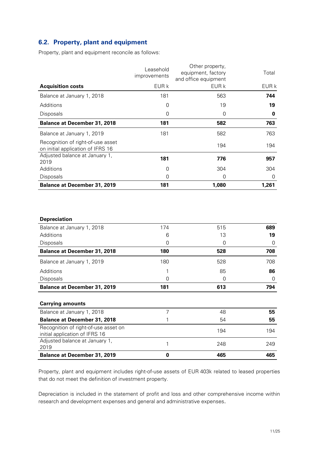#### **6.2. Property, plant and equipment**

Property, plant and equipment reconcile as follows:

|                                                                        | Leasehold<br><i>improvements</i> | Other property,<br>equipment, factory<br>and office equipment | Total |
|------------------------------------------------------------------------|----------------------------------|---------------------------------------------------------------|-------|
| <b>Acquisition costs</b>                                               | EUR k                            | EUR k                                                         | EUR k |
| Balance at January 1, 2018                                             | 181                              | 563                                                           | 744   |
| Additions                                                              | 0                                | 19                                                            | 19    |
| <b>Disposals</b>                                                       | 0                                | 0                                                             | 0     |
| <b>Balance at December 31, 2018</b>                                    | 181                              | 582                                                           | 763   |
| Balance at January 1, 2019                                             | 181                              | 582                                                           | 763   |
| Recognition of right-of-use asset<br>on initial application of IFRS 16 |                                  | 194                                                           | 194   |
| Adjusted balance at January 1,<br>2019                                 | 181                              | 776                                                           | 957   |
| Additions                                                              | 0                                | 304                                                           | 304   |
| <b>Disposals</b>                                                       | 0                                | 0                                                             | 0     |
| <b>Balance at December 31, 2019</b>                                    | 181                              | 1,080                                                         | 1,261 |
|                                                                        |                                  |                                                               |       |

| <b>Depreciation</b>                                                    |          |     |     |
|------------------------------------------------------------------------|----------|-----|-----|
| Balance at January 1, 2018                                             | 174      | 515 | 689 |
| Additions                                                              | 6        | 13  | 19  |
| Disposals                                                              | 0        | 0   | 0   |
| <b>Balance at December 31, 2018</b>                                    | 180      | 528 | 708 |
| Balance at January 1, 2019                                             | 180      | 528 | 708 |
| Additions                                                              |          | 85  | 86  |
| Disposals                                                              | 0        | 0   | 0   |
| <b>Balance at December 31, 2019</b>                                    | 181      | 613 | 794 |
|                                                                        |          |     |     |
| <b>Carrying amounts</b>                                                |          |     |     |
| Balance at January 1, 2018                                             | 7        | 48  | 55  |
| <b>Balance at December 31, 2018</b>                                    |          | 54  | 55  |
| Recognition of right-of-use asset on<br>initial application of IFRS 16 |          | 194 | 194 |
| Adjusted balance at January 1,<br>2019                                 | 1        | 248 | 249 |
| <b>Balance at December 31, 2019</b>                                    | $\bf{0}$ | 465 | 465 |
|                                                                        |          |     |     |

Property, plant and equipment includes right-of-use assets of EUR 403k related to leased properties that do not meet the definition of investment property.

Depreciation is included in the statement of profit and loss and other comprehensive income within research and development expenses and general and administrative expenses.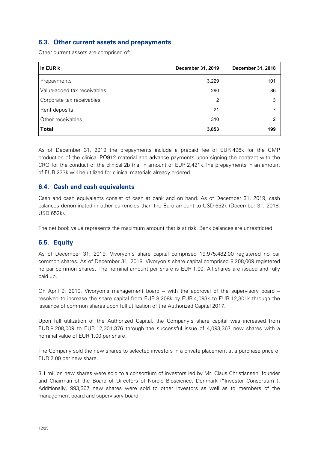#### **6.3. Other current assets and prepayments**

Other current assets are comprised of:

| In EUR k                    | December 31, 2019 | December 31, 2018 |
|-----------------------------|-------------------|-------------------|
| Prepayments                 | 3,229             | 101               |
| Value-added tax receivables | 290               | 86                |
| Corporate tax receivables   | $\overline{2}$    | 3                 |
| Rent deposits               | 21                |                   |
| Other receivables           | 310               | 2                 |
| <b>Total</b>                | 3,853             | 199               |

As of December 31, 2019 the prepayments include a prepaid fee of EUR 496k for the GMP production of the clinical PQ912 material and advance payments upon signing the contract with the CRO for the conduct of the clinical 2b trial in amount of EUR 2,421k.The prepayments in an amount of EUR 233k will be utilized for clinical materials already ordered.

#### **6.4. Cash and cash equivalents**

Cash and cash equivalents consist of cash at bank and on hand. As of December 31, 2019, cash balances denominated in other currencies than the Euro amount to USD 652k (December 31, 2018: USD 652k).

The net book value represents the maximum amount that is at risk. Bank balances are unrestricted.

#### **6.5. Equity**

As of December 31, 2019, Vivoryon's share capital comprised 19,975,482.00 registered no par common shares. As of December 31, 2018, Vivoryon's share capital comprised 8,208,009 registered no par common shares. The nominal amount per share is EUR 1.00. All shares are issued and fully paid up.

On April 9, 2019, Vivoryon's management board – with the approval of the supervisory board – resolved to increase the share capital from EUR 8,208k by EUR 4,093k to EUR 12,301k through the issuance of common shares upon full utilization of the Authorized Capital 2017.

Upon full utilization of the Authorized Capital, the Company's share capital was increased from EUR 8,208,009 to EUR 12,301,376 through the successful issue of 4,093,367 new shares with a nominal value of EUR 1.00 per share.

The Company sold the new shares to selected investors in a private placement at a purchase price of EUR 2.00 per new share.

3.1 million new shares were sold to a consortium of investors led by Mr. Claus Christiansen, founder and Chairman of the Board of Directors of Nordic Bioscience, Denmark ("Investor Consortium"). Additionally, 993,367 new shares were sold to other investors as well as to members of the management board and supervisory board.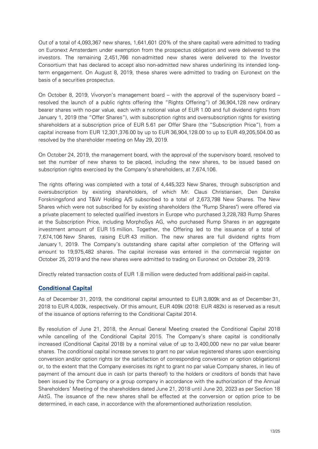Out of a total of 4,093,367 new shares, 1,641,601 (20% of the share capital) were admitted to trading on Euronext Amsterdam under exemption from the prospectus obligation and were delivered to the investors. The remaining 2,451,766 non-admitted new shares were delivered to the Investor Consortium that has declared to accept also non-admitted new shares underlining its intended longterm engagement. On August 8, 2019, these shares were admitted to trading on Euronext on the basis of a securities prospectus.

On October 8, 2019, Vivoryon's management board – with the approval of the supervisory board – resolved the launch of a public rights offering (the "Rights Offering") of 36,904,128 new ordinary bearer shares with no-par value, each with a notional value of EUR 1.00 and full dividend rights from January 1, 2019 (the "Offer Shares"), with subscription rights and oversubscription rights for existing shareholders at a subscription price of EUR 5.61 per Offer Share (the "Subscription Price"), from a capital increase from EUR 12,301,376.00 by up to EUR 36,904,128.00 to up to EUR 49,205,504.00 as resolved by the shareholder meeting on May 29, 2019.

On October 24, 2019, the management board, with the approval of the supervisory board, resolved to set the number of new shares to be placed, including the new shares, to be issued based on subscription rights exercised by the Company's shareholders, at 7,674,106.

The rights offering was completed with a total of 4,445,323 New Shares, through subscription and oversubscription by existing shareholders, of which Mr. Claus Christiansen, Den Danske Forskningsfond and T&W Holding A/S subscribed to a total of 2,673,798 New Shares. The New Shares which were not subscribed for by existing shareholders (the "Rump Shares") were offered via a private placement to selected qualified investors in Europe who purchased 3,228,783 Rump Shares at the Subscription Price, including MorphoSys AG, who purchased Rump Shares in an aggregate investment amount of EUR 15 million. Together, the Offering led to the issuance of a total of 7,674,106 New Shares, raising EUR 43 million. The new shares are full dividend rights from January 1, 2019. The Company's outstanding share capital after completion of the Offering will amount to 19,975,482 shares. The capital increase was entered in the commercial register on October 25, 2019 and the new shares were admitted to trading on Euronext on October 29, 2019.

Directly related transaction costs of EUR 1.8 million were deducted from additional paid-in capital.

#### **Conditional Capital**

As of December 31, 2019, the conditional capital amounted to EUR 3,809k and as of December 31, 2018 to EUR 4,003k, respectively. Of this amount, EUR 409k (2018: EUR 482k) is reserved as a result of the issuance of options referring to the Conditional Capital 2014.

By resolution of June 21, 2018, the Annual General Meeting created the Conditional Capital 2018 while cancelling of the Conditional Capital 2015. The Company's share capital is conditionally increased (Conditional Capital 2018) by a nominal value of up to 3,400,000 new no par value bearer shares. The conditional capital increase serves to grant no par value registered shares upon exercising conversion and/or option rights (or the satisfaction of corresponding conversion or option obligations) or, to the extent that the Company exercises its right to grant no par value Company shares, in lieu of payment of the amount due in cash (or parts thereof) to the holders or creditors of bonds that have been issued by the Company or a group company in accordance with the authorization of the Annual Shareholders' Meeting of the shareholders dated June 21, 2018 until June 20, 2023 as per Section 18 AktG. The issuance of the new shares shall be effected at the conversion or option price to be determined, in each case, in accordance with the aforementioned authorization resolution.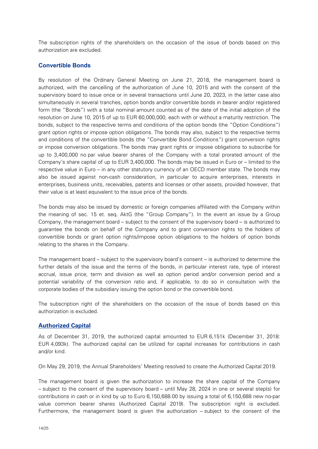The subscription rights of the shareholders on the occasion of the issue of bonds based on this authorization are excluded.

#### **Convertible Bonds**

By resolution of the Ordinary General Meeting on June 21, 2018, the management board is authorized, with the cancelling of the authorization of June 10, 2015 and with the consent of the supervisory board to issue once or in several transactions until June 20, 2023, in the latter case also simultaneously in several tranches, option bonds and/or convertible bonds in bearer and/or registered form (the "Bonds") with a total nominal amount counted as of the date of the initial adoption of the resolution on June 10, 2015 of up to EUR 60,000,000, each with or without a maturity restriction. The bonds, subject to the respective terms and conditions of the option bonds (the "Option Conditions") grant option rights or impose option obligations. The bonds may also, subject to the respective terms and conditions of the convertible bonds (the "Convertible Bond Conditions") grant conversion rights or impose conversion obligations. The bonds may grant rights or impose obligations to subscribe for up to 3,400,000 no par value bearer shares of the Company with a total prorated amount of the Company's share capital of up to EUR 3,400,000. The bonds may be issued in Euro or – limited to the respective value in Euro – in any other statutory currency of an OECD member state. The bonds may also be issued against non-cash consideration, in particular to acquire enterprises, interests in enterprises, business units, receivables, patents and licenses or other assets, provided however, that their value is at least equivalent to the issue price of the bonds.

The bonds may also be issued by domestic or foreign companies affiliated with the Company within the meaning of sec. 15 et. seq. AktG (the "Group Company"). In the event an issue by a Group Company, the management board – subject to the consent of the supervisory board – is authorized to guarantee the bonds on behalf of the Company and to grant conversion rights to the holders of convertible bonds or grant option rights/impose option obligations to the holders of option bonds relating to the shares in the Company.

The management board – subject to the supervisory board's consent – is authorized to determine the further details of the issue and the terms of the bonds, in particular interest rate, type of interest accrual, issue price, term and division as well as option period and/or conversion period and a potential variability of the conversion ratio and, if applicable, to do so in consultation with the corporate bodies of the subsidiary issuing the option bond or the convertible bond.

The subscription right of the shareholders on the occasion of the issue of bonds based on this authorization is excluded.

#### **Authorized Capital**

As of December 31, 2019, the authorized capital amounted to EUR 6,151k (December 31, 2018: EUR 4,093k). The authorized capital can be utilized for capital increases for contributions in cash and/or kind.

On May 29, 2019, the Annual Shareholders' Meeting resolved to create the Authorized Capital 2019.

The management board is given the authorization to increase the share capital of the Company – subject to the consent of the supervisory board – until May 28, 2024 in one or several step(s) for contributions in cash or in kind by up to Euro 6,150,688.00 by issuing a total of 6,150,688 new no-par value common bearer shares (Authorized Capital 2019). The subscription right is excluded. Furthermore, the management board is given the authorization – subject to the consent of the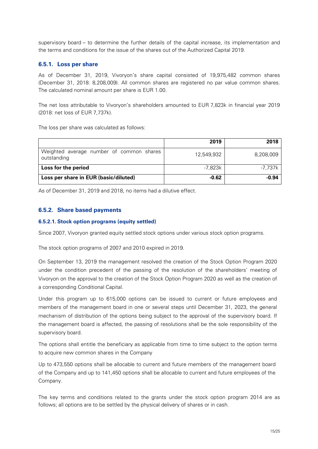supervisory board – to determine the further details of the capital increase, its implementation and the terms and conditions for the issue of the shares out of the Authorized Capital 2019.

#### **6.5.1. Loss per share**

As of December 31, 2019, Vivoryon's share capital consisted of 19,975,482 common shares (December 31, 2018: 8,208,009). All common shares are registered no par value common shares. The calculated nominal amount per share is EUR 1.00.

The net loss attributable to Vivoryon's shareholders amounted to EUR 7,823k in financial year 2019 (2018: net loss of EUR 7,737k).

The loss per share was calculated as follows:

|                                                         | 2019       | 2018      |
|---------------------------------------------------------|------------|-----------|
| Weighted average number of common shares<br>outstanding | 12,549,932 | 8,208,009 |
| Loss for the period                                     | -7.823k    | -7.737k   |
| Loss per share in EUR (basic/diluted)                   | $-0.62$    | $-0.94$   |

As of December 31, 2019 and 2018, no items had a dilutive effect.

#### **6.5.2. Share based payments**

#### **6.5.2.1. Stock option programs (equity settled)**

Since 2007, Vivoryon granted equity settled stock options under various stock option programs.

The stock option programs of 2007 and 2010 expired in 2019.

On September 13, 2019 the management resolved the creation of the Stock Option Program 2020 under the condition precedent of the passing of the resolution of the shareholders' meeting of Vivoryon on the approval to the creation of the Stock Option Program 2020 as well as the creation of a corresponding Conditional Capital.

Under this program up to 615,000 options can be issued to current or future employees and members of the management board in one or several steps until December 31, 2023, the general mechanism of distribution of the options being subject to the approval of the supervisory board. If the management board is affected, the passing of resolutions shall be the sole responsibility of the supervisory board.

The options shall entitle the beneficiary as applicable from time to time subject to the option terms to acquire new common shares in the Company

Up to 473,550 options shall be allocable to current and future members of the management board of the Company and up to 141,450 options shall be allocable to current and future employees of the Company.

The key terms and conditions related to the grants under the stock option program 2014 are as follows; all options are to be settled by the physical delivery of shares or in cash.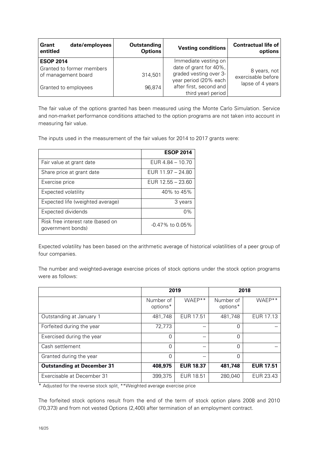| date/employees<br>Grant<br>entitled                                                          | <b>Outstanding</b><br><b>Options</b> | <b>Vesting conditions</b>                                                                                                                          | <b>Contractual life of</b><br>options                  |
|----------------------------------------------------------------------------------------------|--------------------------------------|----------------------------------------------------------------------------------------------------------------------------------------------------|--------------------------------------------------------|
| <b>ESOP 2014</b><br>Granted to former members<br>of management board<br>Granted to employees | 314,501<br>96,874                    | Immediate vesting on<br>date of grant for 40%,<br>graded vesting over 3-<br>year period (20% each<br>after first, second and<br>third year) period | 8 years, not<br>exercisable before<br>lapse of 4 years |

The fair value of the options granted has been measured using the Monte Carlo Simulation. Service and non-market performance conditions attached to the option programs are not taken into account in measuring fair value.

The inputs used in the measurement of the fair values for 2014 to 2017 grants were:

|                                                        | <b>ESOP 2014</b>   |
|--------------------------------------------------------|--------------------|
| Fair value at grant date                               | EUR 4.84 - 10.70   |
| Share price at grant date                              | EUR 11.97 - 24.80  |
| Exercise price                                         | EUR 12.55 - 23.60  |
| Expected volatility                                    | 40% to 45%         |
| Expected life (weighted average)                       | 3 years            |
| Expected dividends                                     | $0\%$              |
| Risk free interest rate (based on<br>government bonds) | $-0.47\%$ to 0.05% |

Expected volatility has been based on the arithmetic average of historical volatilities of a peer group of four companies.

The number and weighted-average exercise prices of stock options under the stock option programs were as follows:

|                                   | 2019                  |                  | 2018                  |                  |
|-----------------------------------|-----------------------|------------------|-----------------------|------------------|
|                                   | Number of<br>options* | WAEP**           | Number of<br>options* | WAFP**           |
| Outstanding at January 1          | 481,748               | EUR 17.51        | 481,748               | EUR 17.13        |
| Forfeited during the year         | 72,773                |                  | 0                     |                  |
| Exercised during the year         | 0                     |                  | 0                     |                  |
| Cash settlement                   | 0                     |                  | 0                     |                  |
| Granted during the year           | 0                     |                  | $\Omega$              |                  |
| <b>Outstanding at December 31</b> | 408,975               | <b>EUR 18.37</b> | 481,748               | <b>EUR 17.51</b> |
| Exercisable at December 31        | 399,375               | EUR 18.51        | 280,040               | EUR 23.43        |

\* Adjusted for the reverse stock split¸ \*\*Weighted average exercise price

The forfeited stock options result from the end of the term of stock option plans 2008 and 2010 (70,373) and from not vested Options (2,400) after termination of an employment contract.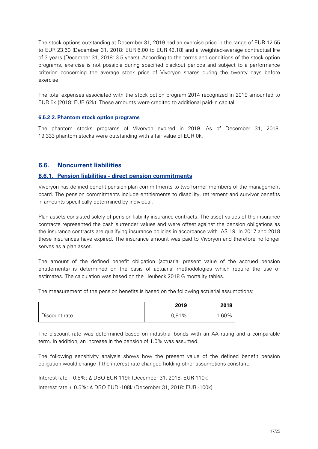The stock options outstanding at December 31, 2019 had an exercise price in the range of EUR 12.55 to EUR 23.60 (December 31, 2018: EUR 6.00 to EUR 42.18) and a weighted-average contractual life of 3 years (December 31, 2018: 3.5 years). According to the terms and conditions of the stock option programs, exercise is not possible during specified blackout periods and subject to a performance criterion concerning the average stock price of Vivoryon shares during the twenty days before exercise.

The total expenses associated with the stock option program 2014 recognized in 2019 amounted to EUR 5k (2018: EUR 62k). These amounts were credited to additional paid-in capital.

#### **6.5.2.2. Phantom stock option programs**

The phantom stocks programs of Vivoryon expired in 2019. As of December 31, 2018, 19,333 phantom stocks were outstanding with a fair value of EUR 0k.

#### **6.6. Noncurrent liabilities**

#### **6.6.1. Pension liabilities - direct pension commitments**

Vivoryon has defined benefit pension plan commitments to two former members of the management board. The pension commitments include entitlements to disability, retirement and survivor benefits in amounts specifically determined by individual.

Plan assets consisted solely of pension liability insurance contracts. The asset values of the insurance contracts represented the cash surrender values and were offset against the pension obligations as the insurance contracts are qualifying insurance policies in accordance with IAS 19. In 2017 and 2018 these insurances have expired. The insurance amount was paid to Vivoryon and therefore no longer serves as a plan asset.

The amount of the defined benefit obligation (actuarial present value of the accrued pension entitlements) is determined on the basis of actuarial methodologies which require the use of estimates. The calculation was based on the Heubeck 2018 G mortality tables.

The measurement of the pension benefits is based on the following actuarial assumptions:

|               | 2019  | 2018      |
|---------------|-------|-----------|
| Discount rate | 0,91% | .60%<br>◢ |

The discount rate was determined based on industrial bonds with an AA rating and a comparable term. In addition, an increase in the pension of 1.0% was assumed.

The following sensitivity analysis shows how the present value of the defined benefit pension obligation would change if the interest rate changed holding other assumptions constant:

Interest rate – 0.5%: Δ DBO EUR 119k (December 31, 2018: EUR 110k) Interest rate + 0.5%: Δ DBO EUR -108k (December 31, 2018: EUR -100k)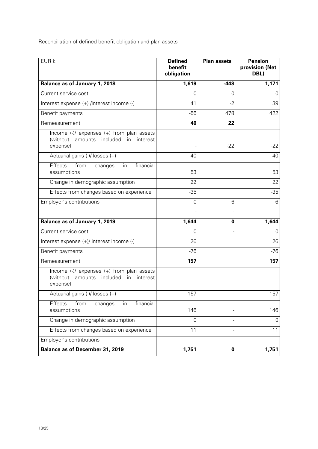Reconciliation of defined benefit obligation and plan assets

| EUR k                                                                                                       | <b>Defined</b><br>benefit<br>obligation | <b>Plan assets</b> | <b>Pension</b><br>provision (Net<br>DBL) |
|-------------------------------------------------------------------------------------------------------------|-----------------------------------------|--------------------|------------------------------------------|
| Balance as of January 1, 2018                                                                               | 1,619                                   | $-448$             | 1,171                                    |
| Current service cost                                                                                        | 0                                       | 0                  | 0                                        |
| Interest expense (+) /interest income (-)                                                                   | 41                                      | $-2$               | 39                                       |
| Benefit payments                                                                                            | $-56$                                   | 478                | 422                                      |
| Remeasurement                                                                                               | 40                                      | 22                 |                                          |
| Income (-)/ expenses (+) from plan assets<br>(without amounts included<br>in<br>interest<br>expense)        |                                         | $-22$              | $-22$                                    |
| Actuarial gains (-)/ losses (+)                                                                             | 40                                      |                    | 40                                       |
| Effects<br>financial<br>from<br>changes<br>in<br>assumptions                                                | 53                                      |                    | 53                                       |
| Change in demographic assumption                                                                            | 22                                      |                    | 22                                       |
| Effects from changes based on experience                                                                    | $-35$                                   |                    | $-35$                                    |
| Employer's contributions                                                                                    | 0                                       | -6                 | $-6$                                     |
| <b>Balance as of January 1, 2019</b>                                                                        | 1,644                                   | 0                  | 1,644                                    |
| Current service cost                                                                                        | 0                                       |                    | 0                                        |
| Interest expense (+)/ interest income (-)                                                                   | 26                                      |                    | 26                                       |
| Benefit payments                                                                                            | $-76$                                   |                    | $-76$                                    |
| Remeasurement                                                                                               | 157                                     |                    | 157                                      |
| Income (-)/ expenses (+) from plan assets<br>(without amounts included<br><i>in</i><br>interest<br>expense) |                                         |                    |                                          |
| Actuarial gains (-)/ losses (+)                                                                             | 157                                     |                    | 157                                      |
| Effects<br>from<br>financial<br>changes<br>in<br>assumptions                                                | 146                                     |                    | 146                                      |
| Change in demographic assumption                                                                            | $\Omega$                                |                    | 0                                        |
| Effects from changes based on experience                                                                    | 11                                      |                    | 11                                       |
| Employer's contributions                                                                                    |                                         |                    |                                          |
| <b>Balance as of December 31, 2019</b>                                                                      | 1,751                                   | 0                  | 1,751                                    |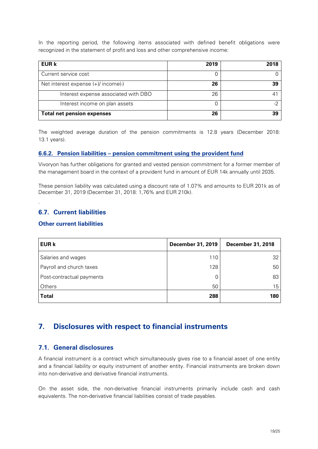In the reporting period, the following items associated with defined benefit obligations were recognized in the statement of profit and loss and other comprehensive income:

| <b>EUR k</b>                          | 2019 | 2018 |
|---------------------------------------|------|------|
| Current service cost                  |      |      |
| Net interest expense $(+)/$ income(-) | 26   | 39   |
| Interest expense associated with DBO  | 26   |      |
| Interest income on plan assets        |      | $-2$ |
| <b>Total net pension expenses</b>     | 26   | 39   |

The weighted average duration of the pension commitments is 12.8 years (December 2018: 13.1 years).

#### **6.6.2. Pension liabilities – pension commitment using the provident fund**

Vivoryon has further obligations for granted and vested pension commitment for a former member of the management board in the context of a provident fund in amount of EUR 14k annually until 2035.

These pension liability was calculated using a discount rate of 1.07% and amounts to EUR 201k as of December 31, 2019 (December 31, 2018: 1,76% and EUR 210k).

#### **6.7. Current liabilities**

.

#### **Other current liabilities**

| <b>EUR k</b>              | December 31, 2019 | <b>December 31, 2018</b> |
|---------------------------|-------------------|--------------------------|
| Salaries and wages        | 110               | 32                       |
| Payroll and church taxes  | 128               | 50                       |
| Post-contractual payments |                   | 83                       |
| Others                    | 50                | 15                       |
| <b>Total</b>              | 288               | 180                      |

## **7. Disclosures with respect to financial instruments**

#### **7.1. General disclosures**

A financial instrument is a contract which simultaneously gives rise to a financial asset of one entity and a financial liability or equity instrument of another entity. Financial instruments are broken down into non-derivative and derivative financial instruments.

On the asset side, the non-derivative financial instruments primarily include cash and cash equivalents. The non-derivative financial liabilities consist of trade payables.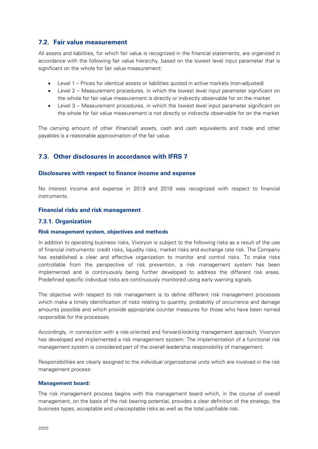#### **7.2. Fair value measurement**

All assets and liabilities, for which fair value is recognized in the financial statements, are organized in accordance with the following fair value hierarchy, based on the lowest level input parameter that is significant on the whole for fair value measurement:

- Level 1 Prices for identical assets or liabilities quoted in active markets (non-adjusted)
- Level 2 Measurement procedures, in which the lowest level input parameter significant on the whole for fair value measurement is directly or indirectly observable for on the market
- Level 3 Measurement procedures, in which the lowest level input parameter significant on the whole for fair value measurement is not directly or indirectly observable for on the market

The carrying amount of other (financial) assets, cash and cash equivalents and trade and other payables is a reasonable approximation of the fair value.

#### **7.3. Other disclosures in accordance with IFRS 7**

#### **Disclosures with respect to finance income and expense**

No interest income and expense in 2019 and 2018 was recognized with respect to financial instruments.

#### **Financial risks and risk management**

#### **7.3.1. Organization**

#### **Risk management system, objectives and methods**

In addition to operating business risks, Vivoryon is subject to the following risks as a result of the use of financial instruments: credit risks, liquidity risks, market risks and exchange rate risk. The Company has established a clear and effective organization to monitor and control risks. To make risks controllable from the perspective of risk prevention, a risk management system has been implemented and is continuously being further developed to address the different risk areas. Predefined specific individual risks are continuously monitored using early warning signals.

The objective with respect to risk management is to define different risk management processes which make a timely identification of risks relating to quantity, probability of occurrence and damage amounts possible and which provide appropriate counter measures for those who have been named responsible for the processes.

Accordingly, in connection with a risk-oriented and forward-looking management approach, Vivoryon has developed and implemented a risk management system. The implementation of a functional risk management system is considered part of the overall leadership responsibility of management.

Responsibilities are clearly assigned to the individual organizational units which are involved in the risk management process:

#### **Management board:**

The risk management process begins with the management board which, in the course of overall management, on the basis of the risk bearing potential, provides a clear definition of the strategy, the business types, acceptable and unacceptable risks as well as the total justifiable risk.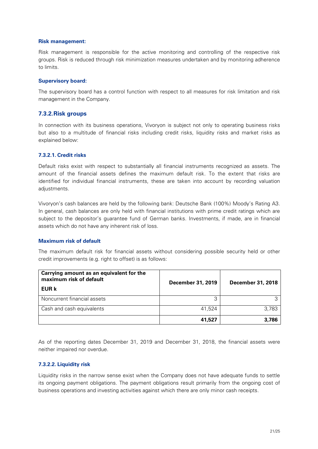#### **Risk management:**

Risk management is responsible for the active monitoring and controlling of the respective risk groups. Risk is reduced through risk minimization measures undertaken and by monitoring adherence to limits.

#### **Supervisory board:**

The supervisory board has a control function with respect to all measures for risk limitation and risk management in the Company.

#### **7.3.2.Risk groups**

In connection with its business operations, Vivoryon is subject not only to operating business risks but also to a multitude of financial risks including credit risks, liquidity risks and market risks as explained below:

#### **7.3.2.1. Credit risks**

Default risks exist with respect to substantially all financial instruments recognized as assets. The amount of the financial assets defines the maximum default risk. To the extent that risks are identified for individual financial instruments, these are taken into account by recording valuation adjustments.

Vivoryon's cash balances are held by the following bank: Deutsche Bank (100%) Moody's Rating A3. In general, cash balances are only held with financial institutions with prime credit ratings which are subject to the depositor's guarantee fund of German banks. Investments, if made, are in financial assets which do not have any inherent risk of loss.

#### **Maximum risk of default**

The maximum default risk for financial assets without considering possible security held or other credit improvements (e.g. right to offset) is as follows:

| Carrying amount as an equivalent for the<br>maximum risk of default<br><b>EUR k</b> | December 31, 2019 | <b>December 31, 2018</b> |
|-------------------------------------------------------------------------------------|-------------------|--------------------------|
| Noncurrent financial assets                                                         | 3                 |                          |
| Cash and cash equivalents                                                           | 41.524            | 3.783                    |
|                                                                                     | 41,527            | 3,786                    |

As of the reporting dates December 31, 2019 and December 31, 2018, the financial assets were neither impaired nor overdue.

#### **7.3.2.2. Liquidity risk**

Liquidity risks in the narrow sense exist when the Company does not have adequate funds to settle its ongoing payment obligations. The payment obligations result primarily from the ongoing cost of business operations and investing activities against which there are only minor cash receipts.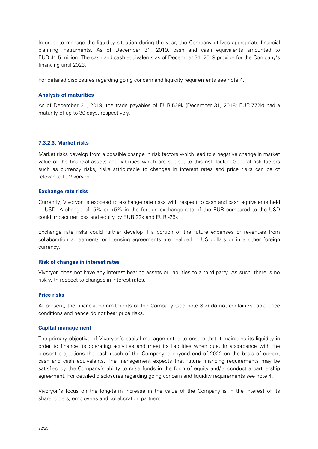In order to manage the liquidity situation during the year, the Company utilizes appropriate financial planning instruments. As of December 31, 2019, cash and cash equivalents amounted to EUR 41.5 million. The cash and cash equivalents as of December 31, 2019 provide for the Company's financing until 2023.

For detailed disclosures regarding going concern and liquidity requirements see note 4.

#### **Analysis of maturities**

As of December 31, 2019, the trade payables of EUR 539k (December 31, 2018: EUR 772k) had a maturity of up to 30 days, respectively.

#### **7.3.2.3. Market risks**

Market risks develop from a possible change in risk factors which lead to a negative change in market value of the financial assets and liabilities which are subject to this risk factor. General risk factors such as currency risks, risks attributable to changes in interest rates and price risks can be of relevance to Vivoryon.

#### **Exchange rate risks**

Currently, Vivoryon is exposed to exchange rate risks with respect to cash and cash equivalents held in USD. A change of -5% or +5% in the foreign exchange rate of the EUR compared to the USD could impact net loss and equity by EUR 22k and EUR -25k.

Exchange rate risks could further develop if a portion of the future expenses or revenues from collaboration agreements or licensing agreements are realized in US dollars or in another foreign currency.

#### **Risk of changes in interest rates**

Vivoryon does not have any interest bearing assets or liabilities to a third party. As such, there is no risk with respect to changes in interest rates.

#### **Price risks**

At present, the financial commitments of the Company (see note 8.2) do not contain variable price conditions and hence do not bear price risks.

#### **Capital management**

The primary objective of Vivoryon's capital management is to ensure that it maintains its liquidity in order to finance its operating activities and meet its liabilities when due. In accordance with the present projections the cash reach of the Company is beyond end of 2022 on the basis of current cash and cash equivalents. The management expects that future financing requirements may be satisfied by the Company's ability to raise funds in the form of equity and/or conduct a partnership agreement. For detailed disclosures regarding going concern and liquidity requirements see note 4.

Vivoryon's focus on the long-term increase in the value of the Company is in the interest of its shareholders, employees and collaboration partners.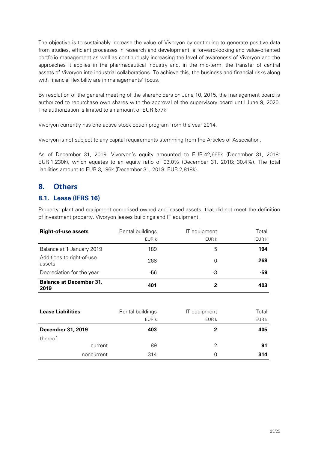The objective is to sustainably increase the value of Vivoryon by continuing to generate positive data from studies, efficient processes in research and development, a forward-looking and value-oriented portfolio management as well as continuously increasing the level of awareness of Vivoryon and the approaches it applies in the pharmaceutical industry and, in the mid-term, the transfer of central assets of Vivoryon into industrial collaborations. To achieve this, the business and financial risks along with financial flexibility are in managements' focus.

By resolution of the general meeting of the shareholders on June 10, 2015, the management board is authorized to repurchase own shares with the approval of the supervisory board until June 9, 2020. The authorization is limited to an amount of EUR 677k.

Vivoryon currently has one active stock option program from the year 2014.

Vivoryon is not subject to any capital requirements stemming from the Articles of Association.

As of December 31, 2019, Vivoryon's equity amounted to EUR 42,665k (December 31, 2018: EUR 1,230k), which equates to an equity ratio of 93.0% (December 31, 2018: 30.4%). The total liabilities amount to EUR 3,196k (December 31, 2018: EUR 2,818k).

### **8. Others**

#### **8.1. Lease (IFRS 16)**

Property, plant and equipment comprised owned and leased assets, that did not meet the definition of investment property. Vivoryon leases buildings and IT equipment.

| <b>Right-of-use assets</b>             | Rental buildings<br>EUR k | IT equipment<br>EUR k | Total<br>EUR k |
|----------------------------------------|---------------------------|-----------------------|----------------|
| Balance at 1 January 2019              | 189                       | 5                     | 194            |
| Additions to right-of-use<br>assets    | 268                       | 0                     | 268            |
| Depreciation for the year              | -56                       | -3                    | -59            |
| <b>Balance at December 31,</b><br>2019 | 401                       | 2                     | 403            |

| <b>Lease Liabilities</b> | Rental buildings | IT equipment | Total |
|--------------------------|------------------|--------------|-------|
|                          | EUR k            | EUR k        | EUR k |
| <b>December 31, 2019</b> | 403              | 2            | 405   |
| thereof                  |                  |              |       |
| current                  | 89               | 2            | 91    |
| noncurrent               | 314              | 0            | 314   |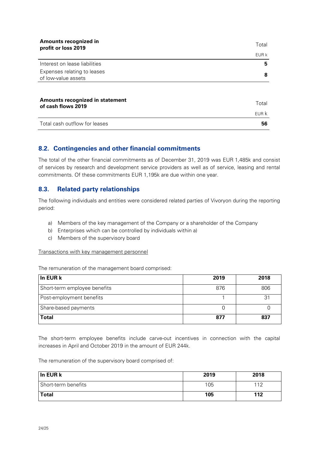| Amounts recognized in<br>profit or loss 2019          | Total |
|-------------------------------------------------------|-------|
|                                                       | EUR k |
| Interest on lease liabilities                         | 5     |
| Expenses relating to leases<br>of low-value assets    | 8     |
|                                                       |       |
| Amounts recognized in statement<br>of cash flows 2019 | Total |
|                                                       | EUR K |
| Total cash outflow for leases                         | 56    |

#### **8.2. Contingencies and other financial commitments**

The total of the other financial commitments as of December 31, 2019 was EUR 1,485k and consist of services by research and development service providers as well as of service, leasing and rental commitments. Of these commitments EUR 1,195k are due within one year.

#### **8.3. Related party relationships**

The following individuals and entities were considered related parties of Vivoryon during the reporting period:

- a) Members of the key management of the Company or a shareholder of the Company
- b) Enterprises which can be controlled by individuals within a)
- c) Members of the supervisory board

#### Transactions with key management personnel

The remuneration of the management board comprised:

| In EUR k                     | 2019 | 2018 |
|------------------------------|------|------|
| Short-term employee benefits | 876  | 806  |
| Post-employment benefits     |      | 31   |
| Share-based payments         |      |      |
| Total                        | 877  | 837  |

The short-term employee benefits include carve-out incentives in connection with the capital increases in April and October 2019 in the amount of EUR 244k.

The remuneration of the supervisory board comprised of:

| In EUR k            | 2019 | 2018 |
|---------------------|------|------|
| Short-term benefits | 105  | 110  |
| Total               | 105  | 112  |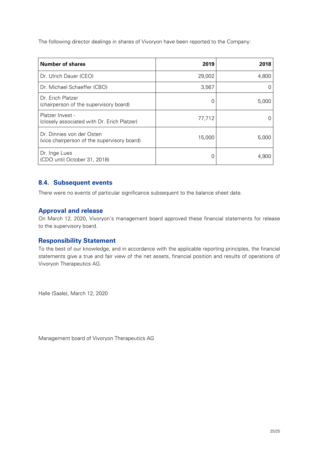The following director dealings in shares of Vivoryon have been reported to the Company:

| <b>Number of shares</b>                                                  | 2019   | 2018  |
|--------------------------------------------------------------------------|--------|-------|
| Dr. Ulrich Dauer (CEO)                                                   | 29,002 | 4,800 |
| Dr. Michael Schaeffer (CBO)                                              | 3,567  |       |
| Dr. Erich Platzer<br>(chairperson of the supervisory board)              |        | 5,000 |
| Platzer Invest -<br>(closely associated with Dr. Erich Platzer)          | 77,712 |       |
| Dr. Dinnies von der Osten<br>(vice chairperson of the supervisory board) | 15,000 | 5,000 |
| Dr. Inge Lues<br>(CDO until October 31, 2018)                            |        | 4.900 |

#### **8.4. Subsequent events**

There were no events of particular significance subsequent to the balance sheet date.

#### **Approval and release**

On March 12, 2020, Vivoryon's management board approved these financial statements for release to the supervisory board.

#### **Responsibility Statement**

To the best of our knowledge, and in accordance with the applicable reporting principles, the financial statements give a true and fair view of the net assets, financial position and results of operations of Vivoryon Therapeutics AG.

Halle (Saale), March 12, 2020

Management board of Vivoryon Therapeutics AG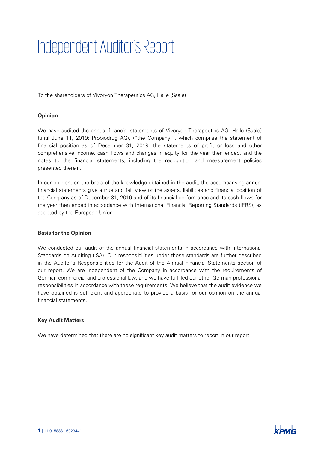# Independent Auditor's Report

To the shareholders of Vivoryon Therapeutics AG, Halle (Saale)

#### **Opinion**

We have audited the annual financial statements of Vivoryon Therapeutics AG, Halle (Saale) (until June 11, 2019: Probiodrug AG), ("the Company"), which comprise the statement of financial position as of December 31, 2019, the statements of profit or loss and other comprehensive income, cash flows and changes in equity for the year then ended, and the notes to the financial statements, including the recognition and measurement policies presented therein.

In our opinion, on the basis of the knowledge obtained in the audit, the accompanying annual financial statements give a true and fair view of the assets, liabilities and financial position of the Company as of December 31, 2019 and of its financial performance and its cash flows for the year then ended in accordance with International Financial Reporting Standards (IFRS), as adopted by the European Union.

#### **Basis for the Opinion**

We conducted our audit of the annual financial statements in accordance with International Standards on Auditing (ISA). Our responsibilities under those standards are further described in the Auditor's Responsibilities for the Audit of the Annual Financial Statements section of our report. We are independent of the Company in accordance with the requirements of German commercial and professional law, and we have fulfilled our other German professional responsibilities in accordance with these requirements. We believe that the audit evidence we have obtained is sufficient and appropriate to provide a basis for our opinion on the annual financial statements.

#### **Key Audit Matters**

We have determined that there are no significant key audit matters to report in our report.

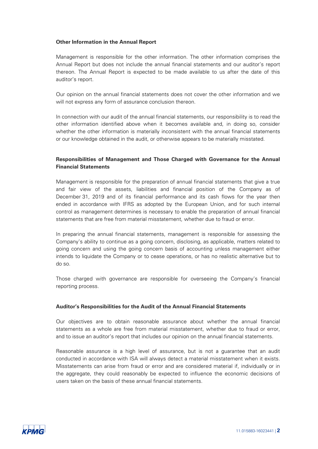#### **Other Information in the Annual Report**

Management is responsible for the other information. The other information comprises the Annual Report but does not include the annual financial statements and our auditor's report thereon. The Annual Report is expected to be made available to us after the date of this auditor's report.

Our opinion on the annual financial statements does not cover the other information and we will not express any form of assurance conclusion thereon.

In connection with our audit of the annual financial statements, our responsibility is to read the other information identified above when it becomes available and, in doing so, consider whether the other information is materially inconsistent with the annual financial statements or our knowledge obtained in the audit, or otherwise appears to be materially misstated.

#### **Responsibilities of Management and Those Charged with Governance for the Annual Financial Statements**

Management is responsible for the preparation of annual financial statements that give a true and fair view of the assets, liabilities and financial position of the Company as of December 31, 2019 and of its financial performance and its cash flows for the year then ended in accordance with IFRS as adopted by the European Union, and for such internal control as management determines is necessary to enable the preparation of annual financial statements that are free from material misstatement, whether due to fraud or error.

In preparing the annual financial statements, management is responsible for assessing the Company's ability to continue as a going concern, disclosing, as applicable, matters related to going concern and using the going concern basis of accounting unless management either intends to liquidate the Company or to cease operations, or has no realistic alternative but to do so.

Those charged with governance are responsible for overseeing the Company's financial reporting process.

#### **Auditor's Responsibilities for the Audit of the Annual Financial Statements**

Our objectives are to obtain reasonable assurance about whether the annual financial statements as a whole are free from material misstatement, whether due to fraud or error, and to issue an auditor's report that includes our opinion on the annual financial statements.

Reasonable assurance is a high level of assurance, but is not a guarantee that an audit conducted in accordance with ISA will always detect a material misstatement when it exists. Misstatements can arise from fraud or error and are considered material if, individually or in the aggregate, they could reasonably be expected to influence the economic decisions of users taken on the basis of these annual financial statements.

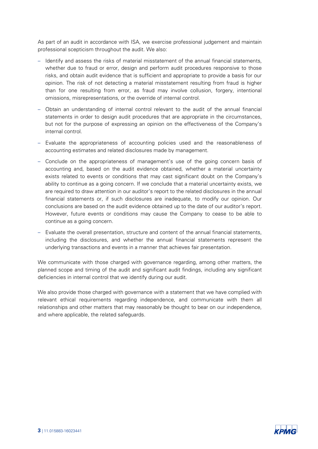As part of an audit in accordance with ISA, we exercise professional judgement and maintain professional scepticism throughout the audit. We also:

- Identify and assess the risks of material misstatement of the annual financial statements, whether due to fraud or error, design and perform audit procedures responsive to those risks, and obtain audit evidence that is sufficient and appropriate to provide a basis for our opinion. The risk of not detecting a material misstatement resulting from fraud is higher than for one resulting from error, as fraud may involve collusion, forgery, intentional omissions, misrepresentations, or the override of internal control.
- Obtain an understanding of internal control relevant to the audit of the annual financial statements in order to design audit procedures that are appropriate in the circumstances, but not for the purpose of expressing an opinion on the effectiveness of the Company's internal control.
- Evaluate the appropriateness of accounting policies used and the reasonableness of accounting estimates and related disclosures made by management.
- Conclude on the appropriateness of management's use of the going concern basis of accounting and, based on the audit evidence obtained, whether a material uncertainty exists related to events or conditions that may cast significant doubt on the Company's ability to continue as a going concern. If we conclude that a material uncertainty exists, we are required to draw attention in our auditor's report to the related disclosures in the annual financial statements or, if such disclosures are inadequate, to modify our opinion. Our conclusions are based on the audit evidence obtained up to the date of our auditor's report. However, future events or conditions may cause the Company to cease to be able to continue as a going concern.
- Evaluate the overall presentation, structure and content of the annual financial statements, including the disclosures, and whether the annual financial statements represent the underlying transactions and events in a manner that achieves fair presentation.

We communicate with those charged with governance regarding, among other matters, the planned scope and timing of the audit and significant audit findings, including any significant deficiencies in internal control that we identify during our audit.

We also provide those charged with governance with a statement that we have complied with relevant ethical requirements regarding independence, and communicate with them all relationships and other matters that may reasonably be thought to bear on our independence, and where applicable, the related safeguards.